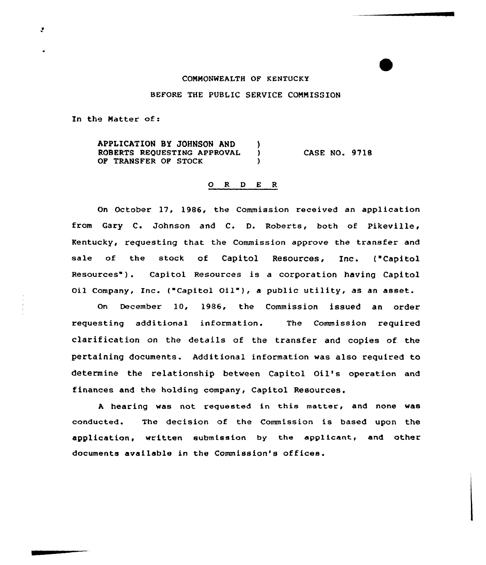# COMMONWEALTH OF KENTUCKY

# BEFORE THE PUBLIC SERVICE COMMISSION

In the Matter of:

APPLICATION BY JOHNSON AND )<br>ROBERTS REQUESTING APPROVAL ) ROBERTS REQUESTING APPROVAL ) OF TRANSFER OF STOCK CASE NO. 9718

### 0 R <sup>D</sup> E R

On October 17, 1986, the Commission received an application from Gary C. Johnson and C. D. Roberts, both of Pikeville, Kentucky, requesting that the Commission approve the transfer and sale of the stock of Capitol Resources, Inc. ("Capitol Resources" ). Capitol Resources is <sup>a</sup> corporation having Capitol Oil Company, Inc. ("Capitol Oil"), <sup>a</sup> public utility, as an asset.

on December 10, 1986, the Commission issued an order requesting additional information. The Commission required clarification on the details of the transfer and copies of the pertaining documents. Additional information was also required to determine the relationship between Capitol Oil's operation and finances and the holding company, Capitol Resources.

<sup>A</sup> hearing was not requested in this matter, and none was conducted. The decision of the Commission is based upon the application, written submission by the applicant, and other documents available in the Commission's offices.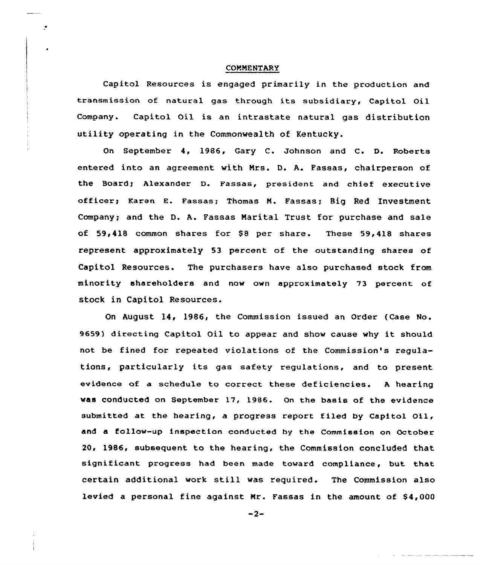### COMMENTARY

 $\bullet$ 

Capitol Resources is engaged primarily in the production and transmission of natural gas through its subsidiary, Capitol Oil Company. Capitol Oil is an intrastate natural gas distribution utility operating in the Commonwealth of Kentucky.

On September 4, 1986, Gary C. Johnson and C. D. Roberts entered into an agreement with Nrs. D. A. Fassas, chairperson of the Board; Alexander D. Fassas, president and chief executive officer; Karen E. Fassas; Thomas M. Fassas; Big Red Investment Company; and the D. A. Fassas Narital Trust for purchase and sale of 59,418 common shares for \$8 per share. These 59,418 shares represent approximately 53 percent of the outstanding shares of Capitol Resources. The purchasers have also purchased stock from minority shareholders and now own approximately 73 percent of stock in Capitol Resources.

On August 14, 1986, the Commission issued an Order (Case No. 9659) directing Capital Oil to appear and show cause why it should not be fined for repeated violations of the Commission's regulations, particularly its gas safety regulations, and to present evidence of a schedule to correct these deficiencies. <sup>A</sup> hearing was conducted an September 17, 1986. On the basis of the evidence submitted at the hearing, a progress report filed by Capitol Oil, and a follow-up inspection canducted hy the Commission on October 20, 1986, subsequent to the hearing, the Commission concluded that significant progress had been made toward compliance, but that certain additional work still was required. The Commission also levied a personal fine against Mr. Fassas in the amount of  $$4,000$ 

 $-2-$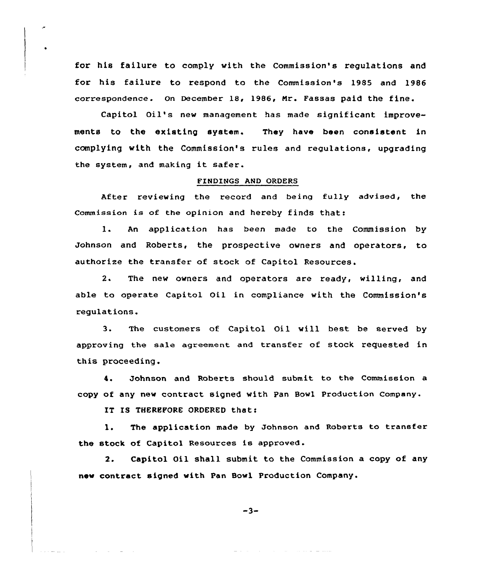for his failure to comply with the Commission's regulations and for his failure to respond to the Commission's 1985 and 1986 correspondence. On December 18, 1986, Mr. Fassas paid the fine.

Capitol Oil's new management has made significant improvements to the existing system. They have been consistent in complying with the Commission's rules and regulations, upgrading the system, and making it safer.

### FINDINGS AND ORDERS

After reviewing the record and being fully advised, the Commission is of the opinion and hereby finds that:

l. An application has been made to the Commission by Johnson and Roberts, the prospective owners and operators, to authorize the transfer of stock of Capitol Resources.

2. The new owners and operators are ready, willing, and able to operate Capitol Oil in compliance with the Commission's regulations.

3. The customers of Capitol Oil will best be served by approving the sale agreement and transfer of stock requested in this proceeding.

4. Johnson and Roberts should submit to the Commission a copy of any new contract signed with pan Bowl Production Company.

IT IS THEREFORE ORDERED that:

and the control

 $\overline{a}$ 

l. The application made by Johnson and Roberts to transfer the stock of Capitol Resources is approved .

2. Capitol Oil shall submit to the Commission a copy of any nev contract signed with Pan Bowl Production Company.

 $-3-$ 

and the same of the same and all the